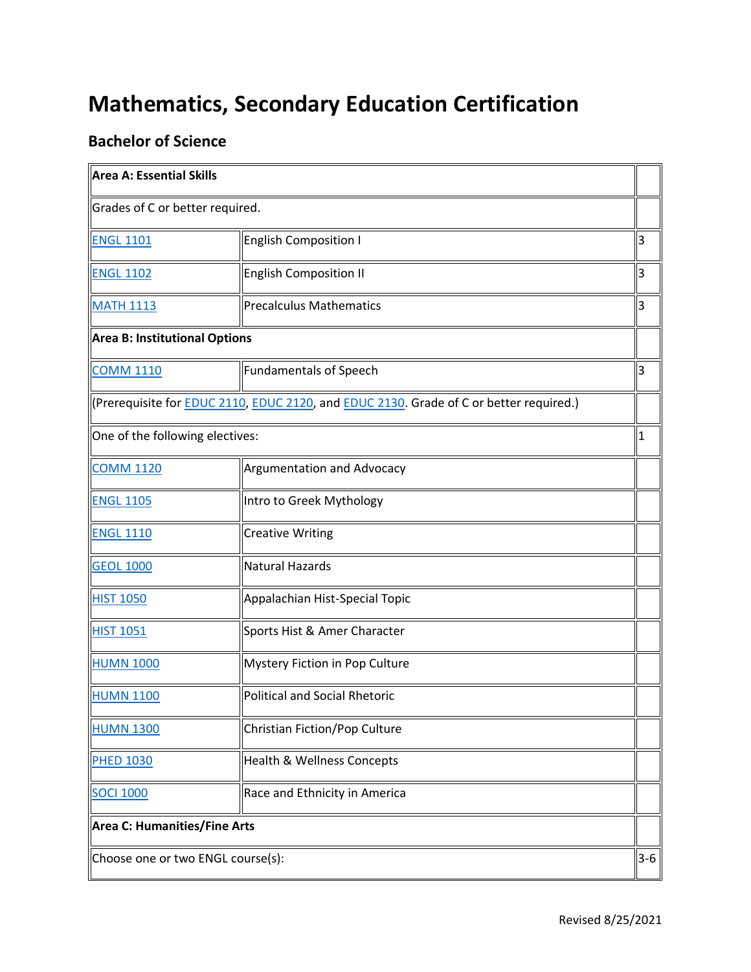## **Mathematics, Secondary Education Certification**

## **Bachelor of Science**

| Area A: Essential Skills          |                                                                                                        |       |
|-----------------------------------|--------------------------------------------------------------------------------------------------------|-------|
| Grades of C or better required.   |                                                                                                        |       |
| <b>ENGL 1101</b>                  | English Composition I                                                                                  | 3     |
| <b>ENGL 1102</b>                  | <b>English Composition II</b>                                                                          | 3     |
| <b>MATH 1113</b>                  | <b>Precalculus Mathematics</b>                                                                         | 3     |
| Area B: Institutional Options     |                                                                                                        |       |
| <b>COMM 1110</b>                  | <b>Fundamentals of Speech</b>                                                                          | 3     |
|                                   | (Prerequisite for <b>EDUC 2110, EDUC 2120</b> , and <b>EDUC 2130</b> . Grade of C or better required.) |       |
| One of the following electives:   |                                                                                                        | 1     |
| <b>COMM 1120</b>                  | <b>Argumentation and Advocacy</b>                                                                      |       |
| <b>ENGL 1105</b>                  | Intro to Greek Mythology                                                                               |       |
| <b>ENGL 1110</b>                  | <b>Creative Writing</b>                                                                                |       |
| <b>GEOL 1000</b>                  | <b>Natural Hazards</b>                                                                                 |       |
| <b>HIST 1050</b>                  | Appalachian Hist-Special Topic                                                                         |       |
| <b>HIST 1051</b>                  | Sports Hist & Amer Character                                                                           |       |
| <b>HUMN 1000</b>                  | Mystery Fiction in Pop Culture                                                                         |       |
| <b>HUMN 1100</b>                  | <b>Political and Social Rhetoric</b>                                                                   |       |
| <b>HUMN 1300</b>                  | Christian Fiction/Pop Culture                                                                          |       |
| <b>PHED 1030</b>                  | <b>Health &amp; Wellness Concepts</b>                                                                  |       |
| <b>SOCI 1000</b>                  | Race and Ethnicity in America                                                                          |       |
| Area C: Humanities/Fine Arts      |                                                                                                        |       |
| Choose one or two ENGL course(s): |                                                                                                        | $3-6$ |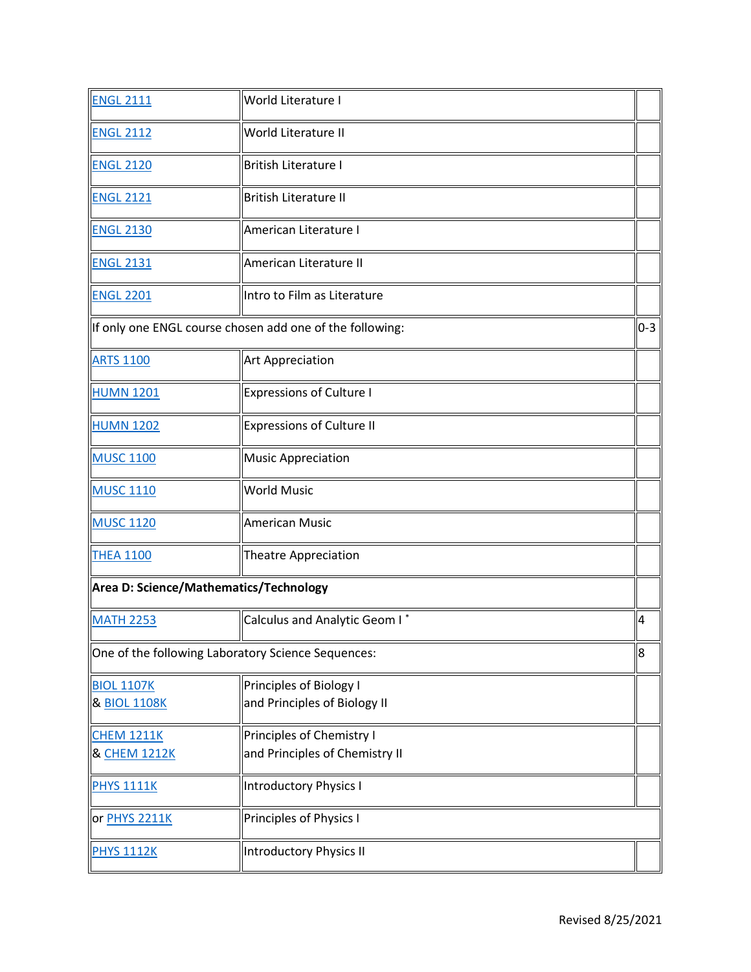| <b>ENGL 2111</b>                       | World Literature I                                       |         |
|----------------------------------------|----------------------------------------------------------|---------|
| <b>ENGL 2112</b>                       | World Literature II                                      |         |
| <b>ENGL 2120</b>                       | British Literature I                                     |         |
| <b>ENGL 2121</b>                       | <b>British Literature II</b>                             |         |
| <b>ENGL 2130</b>                       | American Literature I                                    |         |
| <b>ENGL 2131</b>                       | American Literature II                                   |         |
| <b>ENGL 2201</b>                       | Intro to Film as Literature                              |         |
|                                        | If only one ENGL course chosen add one of the following: | $0 - 3$ |
| <b>ARTS 1100</b>                       | <b>Art Appreciation</b>                                  |         |
| <b>HUMN 1201</b>                       | <b>Expressions of Culture I</b>                          |         |
| <b>HUMN 1202</b>                       | <b>Expressions of Culture II</b>                         |         |
| <b>MUSC 1100</b>                       | <b>Music Appreciation</b>                                |         |
| <b>MUSC 1110</b>                       | <b>World Music</b>                                       |         |
| <b>MUSC 1120</b>                       | <b>American Music</b>                                    |         |
| <b>THEA 1100</b>                       | Theatre Appreciation                                     |         |
| Area D: Science/Mathematics/Technology |                                                          |         |
| <b>MATH 2253</b>                       | Calculus and Analytic Geom I*                            | 4       |
|                                        | One of the following Laboratory Science Sequences:       | 8       |
| <b>BIOL 1107K</b>                      | Principles of Biology I                                  |         |
| & <b>BIOL 1108K</b>                    | and Principles of Biology II                             |         |
| <b>CHEM 1211K</b>                      | Principles of Chemistry I                                |         |
| & CHEM 1212K                           | and Principles of Chemistry II                           |         |
| <b>PHYS 1111K</b>                      | Introductory Physics I                                   |         |
| or <b>PHYS 2211K</b>                   | Principles of Physics I                                  |         |
| <b>PHYS 1112K</b>                      | Introductory Physics II                                  |         |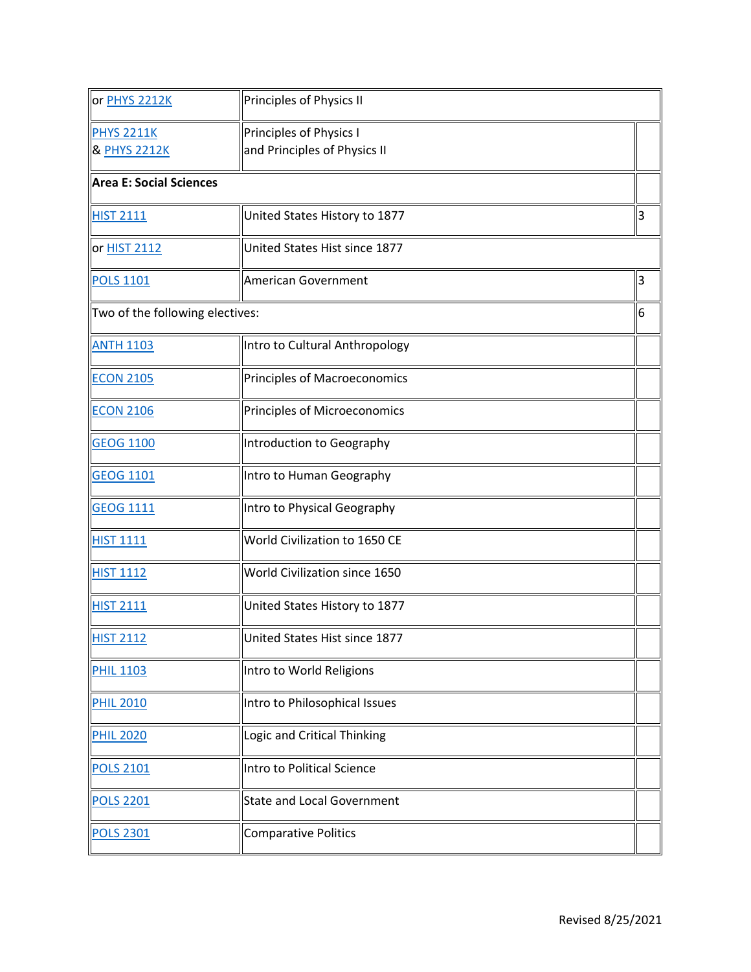| or <b>PHYS 2212K</b>              | Principles of Physics II                                |    |
|-----------------------------------|---------------------------------------------------------|----|
| <b>PHYS 2211K</b><br>& PHYS 2212K | Principles of Physics I<br>and Principles of Physics II |    |
| <b>Area E: Social Sciences</b>    |                                                         |    |
| <b>HIST 2111</b>                  | United States History to 1877                           | 3  |
| or HIST 2112                      | United States Hist since 1877                           |    |
| <b>POLS 1101</b>                  | <b>American Government</b>                              | lз |
|                                   | Two of the following electives:                         |    |
| <b>ANTH 1103</b>                  | Intro to Cultural Anthropology                          |    |
| <b>ECON 2105</b>                  | Principles of Macroeconomics                            |    |
| <b>ECON 2106</b>                  | Principles of Microeconomics                            |    |
| <b>GEOG 1100</b>                  | Introduction to Geography                               |    |
| <b>GEOG 1101</b>                  | Intro to Human Geography                                |    |
| <b>GEOG 1111</b>                  | Intro to Physical Geography                             |    |
| <b>HIST 1111</b>                  | World Civilization to 1650 CE                           |    |
| <b>HIST 1112</b>                  | World Civilization since 1650                           |    |
| <b>HIST 2111</b>                  | United States History to 1877                           |    |
| <b>HIST 2112</b>                  | United States Hist since 1877                           |    |
| <b>PHIL 1103</b>                  | Intro to World Religions                                |    |
| <b>PHIL 2010</b>                  | Intro to Philosophical Issues                           |    |
| <b>PHIL 2020</b>                  | Logic and Critical Thinking                             |    |
| <b>POLS 2101</b>                  | Intro to Political Science                              |    |
| <b>POLS 2201</b>                  | <b>State and Local Government</b>                       |    |
| <b>POLS 2301</b>                  | Comparative Politics                                    |    |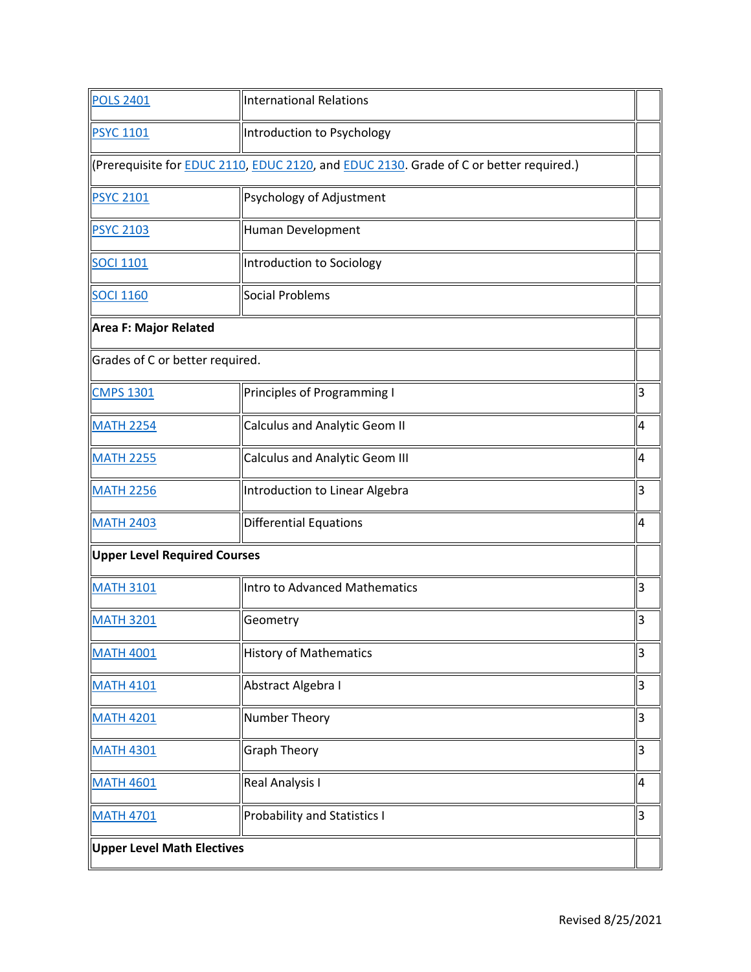| <b>POLS 2401</b>                | <b>International Relations</b>                                                                         |   |
|---------------------------------|--------------------------------------------------------------------------------------------------------|---|
| <b>PSYC 1101</b>                | Introduction to Psychology                                                                             |   |
|                                 | (Prerequisite for <b>EDUC 2110, EDUC 2120</b> , and <b>EDUC 2130</b> . Grade of C or better required.) |   |
| <b>PSYC 2101</b>                | Psychology of Adjustment                                                                               |   |
| <b>PSYC 2103</b>                | Human Development                                                                                      |   |
| <b>SOCI 1101</b>                | Introduction to Sociology                                                                              |   |
| <b>SOCI 1160</b>                | Social Problems                                                                                        |   |
| Area F: Major Related           |                                                                                                        |   |
| Grades of C or better required. |                                                                                                        |   |
| <b>CMPS 1301</b>                | Principles of Programming I                                                                            | 3 |
| <b>MATH 2254</b>                | <b>Calculus and Analytic Geom II</b>                                                                   | 4 |
| <b>MATH 2255</b>                | <b>Calculus and Analytic Geom III</b>                                                                  | 4 |
| <b>MATH 2256</b>                | Introduction to Linear Algebra                                                                         | 3 |
| <b>MATH 2403</b>                | <b>Differential Equations</b>                                                                          | 4 |
| Upper Level Required Courses    |                                                                                                        |   |
| <b>MATH 3101</b>                | Intro to Advanced Mathematics                                                                          | 3 |
| <b>MATH 3201</b>                | Geometry                                                                                               | 3 |
| <b>MATH 4001</b>                | <b>History of Mathematics</b>                                                                          | 3 |
| <b>MATH 4101</b>                | Abstract Algebra I                                                                                     | 3 |
| <b>MATH 4201</b>                | Number Theory                                                                                          | 3 |
| <b>MATH 4301</b>                | <b>Graph Theory</b>                                                                                    | 3 |
| <b>MATH 4601</b>                | Real Analysis I                                                                                        | 4 |
| <b>MATH 4701</b>                | <b>Probability and Statistics I</b>                                                                    | 3 |
| Upper Level Math Electives      |                                                                                                        |   |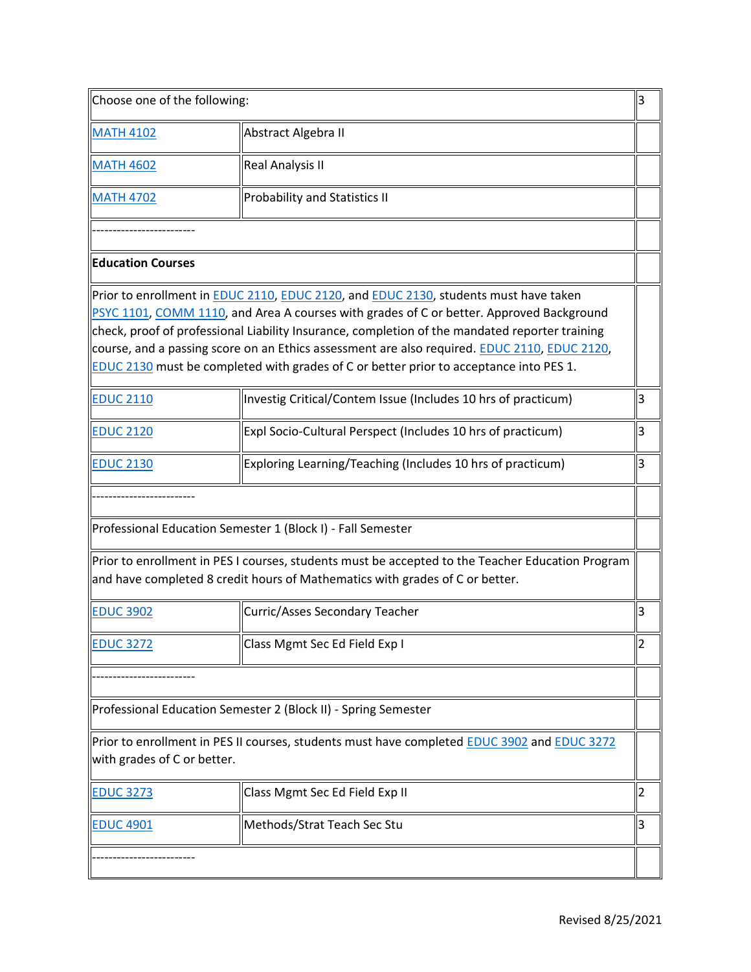| Choose one of the following: |                                                                                                                                                                                                                                                                                                                                                                                                                                                                                                          | 3              |
|------------------------------|----------------------------------------------------------------------------------------------------------------------------------------------------------------------------------------------------------------------------------------------------------------------------------------------------------------------------------------------------------------------------------------------------------------------------------------------------------------------------------------------------------|----------------|
| <b>MATH 4102</b>             | Abstract Algebra II                                                                                                                                                                                                                                                                                                                                                                                                                                                                                      |                |
| <b>MATH 4602</b>             | <b>Real Analysis II</b>                                                                                                                                                                                                                                                                                                                                                                                                                                                                                  |                |
| <b>MATH 4702</b>             | Probability and Statistics II                                                                                                                                                                                                                                                                                                                                                                                                                                                                            |                |
|                              |                                                                                                                                                                                                                                                                                                                                                                                                                                                                                                          |                |
| <b>Education Courses</b>     |                                                                                                                                                                                                                                                                                                                                                                                                                                                                                                          |                |
|                              | Prior to enrollment in <b>EDUC 2110, EDUC 2120</b> , and <b>EDUC 2130</b> , students must have taken<br>PSYC 1101, COMM 1110, and Area A courses with grades of C or better. Approved Background<br>$\parallel$ check, proof of professional Liability Insurance, completion of the mandated reporter training<br>course, and a passing score on an Ethics assessment are also required. EDUC 2110, EDUC 2120,<br>EDUC 2130 must be completed with grades of C or better prior to acceptance into PES 1. |                |
| <b>EDUC 2110</b>             | Investig Critical/Contem Issue (Includes 10 hrs of practicum)                                                                                                                                                                                                                                                                                                                                                                                                                                            | 3              |
| <b>EDUC 2120</b>             | Expl Socio-Cultural Perspect (Includes 10 hrs of practicum)                                                                                                                                                                                                                                                                                                                                                                                                                                              | 3              |
| <b>EDUC 2130</b>             | Exploring Learning/Teaching (Includes 10 hrs of practicum)                                                                                                                                                                                                                                                                                                                                                                                                                                               | 3              |
|                              |                                                                                                                                                                                                                                                                                                                                                                                                                                                                                                          |                |
|                              | Professional Education Semester 1 (Block I) - Fall Semester                                                                                                                                                                                                                                                                                                                                                                                                                                              |                |
|                              | Prior to enrollment in PES I courses, students must be accepted to the Teacher Education Program<br>and have completed 8 credit hours of Mathematics with grades of C or better.                                                                                                                                                                                                                                                                                                                         |                |
| <b>EDUC 3902</b>             | Curric/Asses Secondary Teacher                                                                                                                                                                                                                                                                                                                                                                                                                                                                           | 3              |
| <b>EDUC 3272</b>             | Class Mgmt Sec Ed Field Exp I                                                                                                                                                                                                                                                                                                                                                                                                                                                                            | 2              |
|                              |                                                                                                                                                                                                                                                                                                                                                                                                                                                                                                          |                |
|                              | Professional Education Semester 2 (Block II) - Spring Semester                                                                                                                                                                                                                                                                                                                                                                                                                                           |                |
| with grades of C or better.  | Prior to enrollment in PES II courses, students must have completed <b>EDUC 3902</b> and EDUC 3272                                                                                                                                                                                                                                                                                                                                                                                                       |                |
| <b>EDUC 3273</b>             | Class Mgmt Sec Ed Field Exp II                                                                                                                                                                                                                                                                                                                                                                                                                                                                           | 2              |
| <b>EDUC 4901</b>             | Methods/Strat Teach Sec Stu                                                                                                                                                                                                                                                                                                                                                                                                                                                                              | $\overline{3}$ |
|                              |                                                                                                                                                                                                                                                                                                                                                                                                                                                                                                          |                |